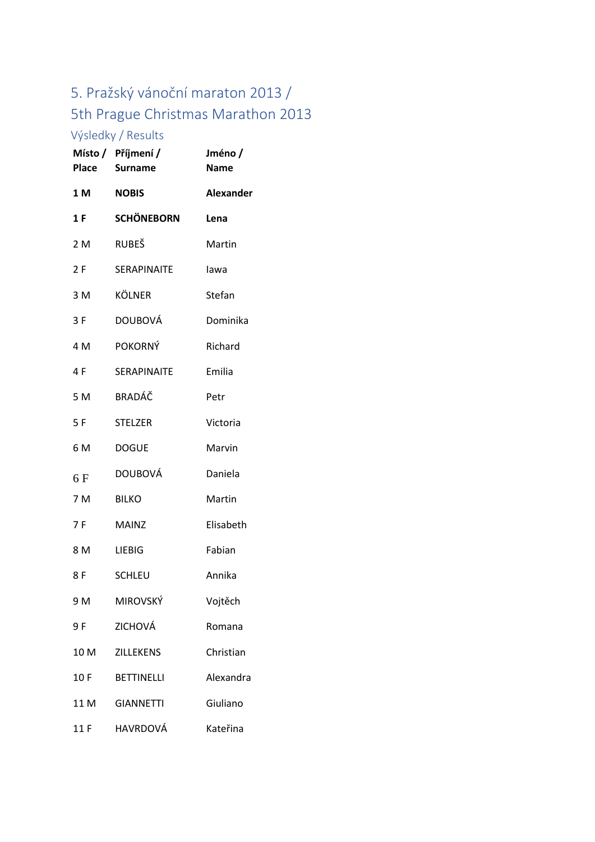## 5. Pražský vánoční maraton 2013 / 5th Prague Christmas Marathon 2013

## Výsledky / Results

|      | Místo / Příjmení /<br>Place Surname | Jméno/<br><b>Name</b> |
|------|-------------------------------------|-----------------------|
| 1 M  | <b>NOBIS</b>                        | <b>Alexander</b>      |
| 1 F  | <b>SCHÖNEBORN</b>                   | Lena                  |
| 2 M  | <b>RUBEŠ</b>                        | Martin                |
| 2 F  | SERAPINAITE                         | lawa                  |
| 3 M  | <b>KÖLNER</b>                       | Stefan                |
| 3F   | <b>DOUBOVÁ</b>                      | Dominika              |
| 4 M  | POKORNÝ                             | Richard               |
| 4 F  | SERAPINAITE                         | Emilia                |
| 5 M  | BRADÁČ                              | Petr                  |
| 5F   | <b>STELZER</b>                      | Victoria              |
| 6 M  | <b>DOGUE</b>                        | Marvin                |
| 6 F  | <b>DOUBOVÁ</b>                      | Daniela               |
| 7 M  | <b>BILKO</b>                        | Martin                |
| 7 F  | <b>MAINZ</b>                        | Elisabeth             |
| 8 M  | <b>LIEBIG</b>                       | Fabian                |
| 8 F  | <b>SCHLEU</b>                       | Annika                |
| 9 M  | <b>MIROVSKÝ</b>                     | Vojtěch               |
| 9F   | ZICHOVÁ                             | Romana                |
| 10 M | <b>ZILLEKENS</b>                    | Christian             |
| 10 F | <b>BETTINELLI</b>                   | Alexandra             |
| 11 M | <b>GIANNETTI</b>                    | Giuliano              |
| 11 F | <b>HAVRDOVÁ</b>                     | Kateřina              |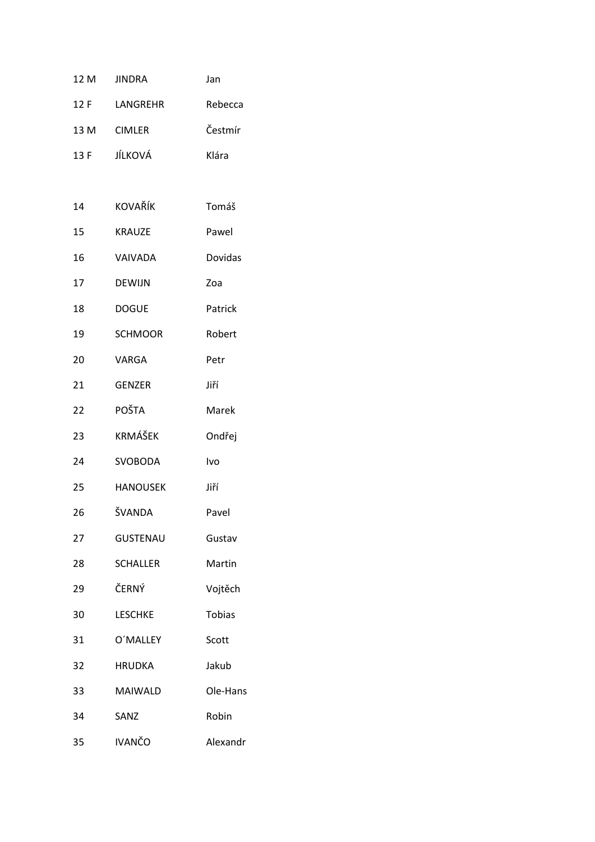|      | 12 M JINDRA     | Jan      |
|------|-----------------|----------|
| 12 F | LANGREHR        | Rebecca  |
| 13 M | <b>CIMLER</b>   | Čestmír  |
| 13 F | JÍLKOVÁ         | Klára    |
|      |                 |          |
| 14   | <b>KOVAŘÍK</b>  | Tomáš    |
| 15   | <b>KRAUZE</b>   | Pawel    |
| 16   | VAIVADA         | Dovidas  |
| 17   | <b>DEWIJN</b>   | Zoa      |
| 18   | <b>DOGUE</b>    | Patrick  |
| 19   | <b>SCHMOOR</b>  | Robert   |
| 20   | VARGA           | Petr     |
| 21   | <b>GENZER</b>   | Jiří     |
| 22   | <b>POŠTA</b>    | Marek    |
| 23   | <b>KRMÁŠEK</b>  | Ondřej   |
| 24   | <b>SVOBODA</b>  | Ivo      |
| 25   | <b>HANOUSEK</b> | Jiří     |
| 26   | ŠVANDA          | Pavel    |
| 27   | <b>GUSTENAU</b> | Gustav   |
| 28   | <b>SCHALLER</b> | Martin   |
| 29   | ČERNÝ           | Vojtěch  |
| 30   | <b>LESCHKE</b>  | Tobias   |
| 31   | O'MALLEY        | Scott    |
| 32   | <b>HRUDKA</b>   | Jakub    |
| 33   | <b>MAIWALD</b>  | Ole-Hans |
| 34   | SANZ            | Robin    |
| 35   | <b>IVANČO</b>   | Alexandr |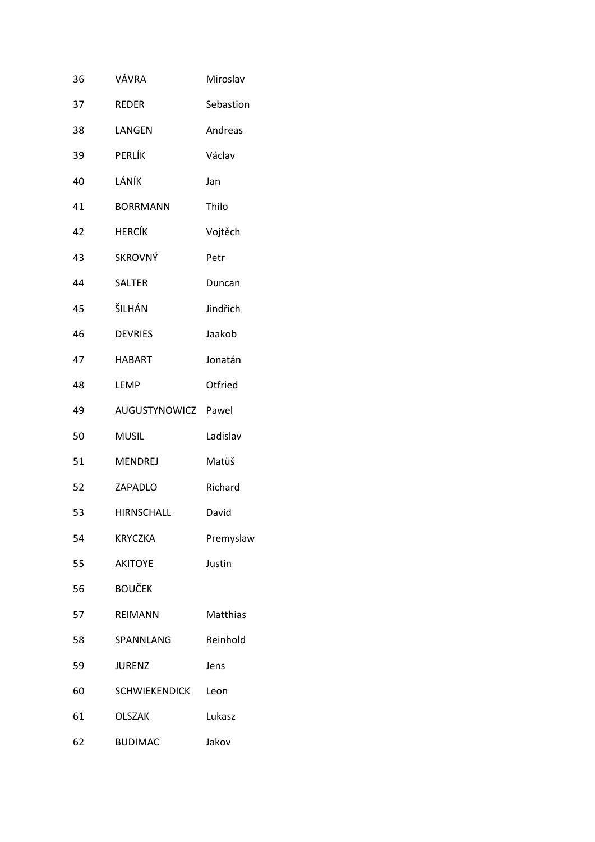| 36 | VÁVRA                | Miroslav  |
|----|----------------------|-----------|
| 37 | <b>REDER</b>         | Sebastion |
| 38 | LANGEN               | Andreas   |
| 39 | PERLÍK               | Václav    |
| 40 | LÁNÍK                | Jan       |
| 41 | <b>BORRMANN</b>      | Thilo     |
| 42 | <b>HERCÍK</b>        | Vojtěch   |
| 43 | <b>SKROVNÝ</b>       | Petr      |
| 44 | <b>SALTER</b>        | Duncan    |
| 45 | ŠILHÁN               | Jindřich  |
| 46 | <b>DEVRIES</b>       | Jaakob    |
| 47 | <b>HABART</b>        | Jonatán   |
| 48 | LEMP                 | Otfried   |
| 49 | AUGUSTYNOWICZ Pawel  |           |
| 50 | <b>MUSIL</b>         | Ladislav  |
| 51 | <b>MENDREJ</b>       | Matůš     |
| 52 | ZAPADLO              | Richard   |
| 53 | <b>HIRNSCHALL</b>    | David     |
| 54 | <b>KRYCZKA</b>       | Premyslaw |
| 55 | <b>AKITOYE</b>       | Justin    |
| 56 | <b>BOUČEK</b>        |           |
| 57 | <b>REIMANN</b>       | Matthias  |
| 58 | SPANNLANG            | Reinhold  |
| 59 | <b>JURENZ</b>        | Jens      |
| 60 | <b>SCHWIEKENDICK</b> | Leon      |
| 61 | <b>OLSZAK</b>        | Lukasz    |
| 62 | <b>BUDIMAC</b>       | Jakov     |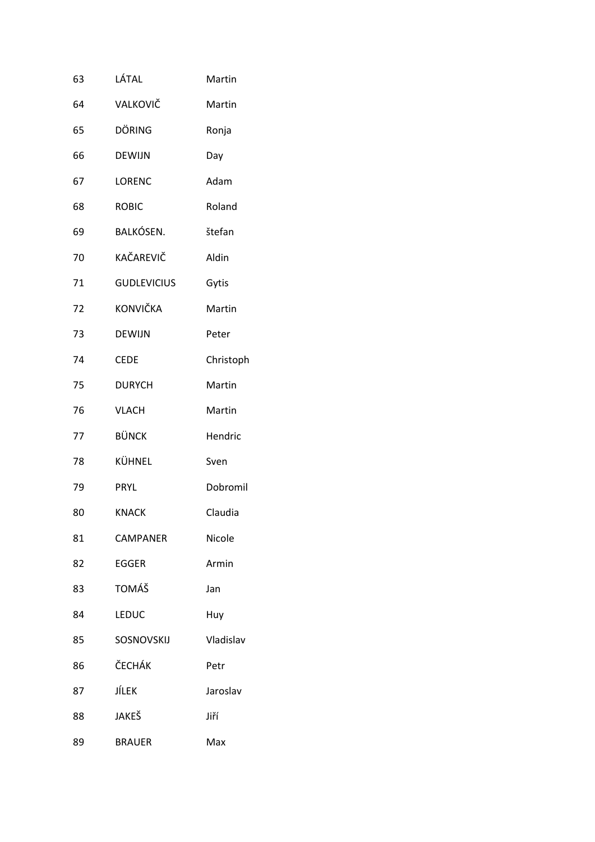| 63 | LÁTAL              | Martin    |
|----|--------------------|-----------|
| 64 | VALKOVIČ           | Martin    |
| 65 | DÖRING             | Ronja     |
| 66 | <b>DEWIJN</b>      | Day       |
| 67 | <b>LORENC</b>      | Adam      |
| 68 | <b>ROBIC</b>       | Roland    |
| 69 | BALKÓSEN.          | štefan    |
| 70 | KAČAREVIČ          | Aldin     |
| 71 | <b>GUDLEVICIUS</b> | Gytis     |
| 72 | <b>KONVIČKA</b>    | Martin    |
| 73 | <b>DEWIJN</b>      | Peter     |
| 74 | <b>CEDE</b>        | Christoph |
| 75 | <b>DURYCH</b>      | Martin    |
| 76 | <b>VLACH</b>       | Martin    |
| 77 | <b>BÜNCK</b>       | Hendric   |
| 78 | KÜHNEL             | Sven      |
| 79 | <b>PRYL</b>        | Dobromil  |
| 80 | <b>KNACK</b>       | Claudia   |
| 81 | CAMPANER           | Nicole    |
| 82 | EGGER              | Armin     |
| 83 | TOMÁŠ              | Jan       |
| 84 | <b>LEDUC</b>       | Huy       |
| 85 | SOSNOVSKIJ         | Vladislav |
| 86 | ČECHÁK             | Petr      |
| 87 | JÍLEK              | Jaroslav  |
| 88 | JAKEŠ              | Jiří      |
| 89 | <b>BRAUER</b>      | Max       |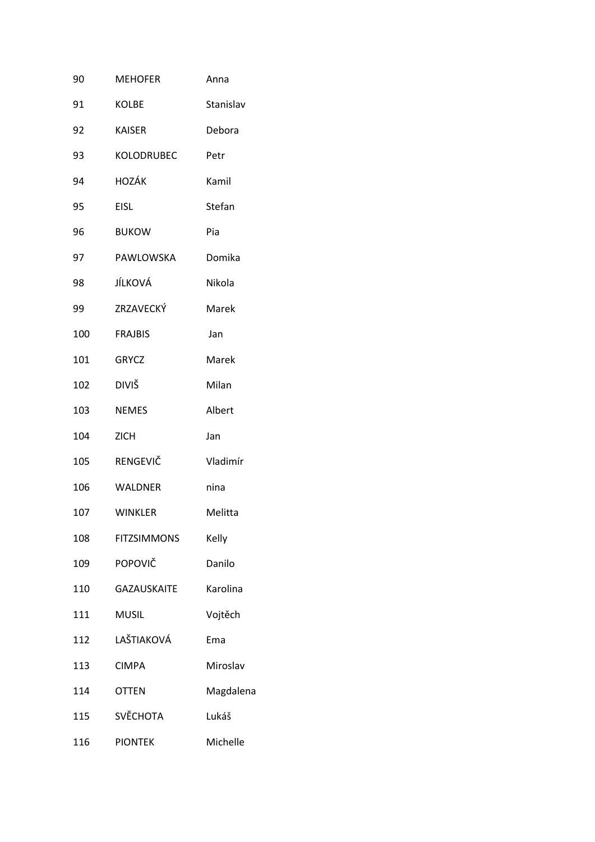| 90  | <b>MEHOFER</b>     | Anna      |
|-----|--------------------|-----------|
| 91  | KOLBE              | Stanislav |
| 92  | <b>KAISER</b>      | Debora    |
| 93  | KOLODRUBEC         | Petr      |
| 94  | <b>HOZÁK</b>       | Kamil     |
| 95  | <b>EISL</b>        | Stefan    |
| 96  | <b>BUKOW</b>       | Pia       |
| 97  | PAWLOWSKA          | Domika    |
| 98  | JÍLKOVÁ            | Nikola    |
| 99  | ZRZAVECKÝ          | Marek     |
| 100 | <b>FRAJBIS</b>     | Jan       |
| 101 | <b>GRYCZ</b>       | Marek     |
| 102 | <b>DIVIŠ</b>       | Milan     |
| 103 | <b>NEMES</b>       | Albert    |
| 104 | <b>ZICH</b>        | Jan       |
| 105 | RENGEVIČ           | Vladimír  |
| 106 | <b>WALDNER</b>     | nina      |
| 107 | <b>WINKLER</b>     | Melitta   |
| 108 | <b>FITZSIMMONS</b> | Kelly     |
| 109 | POPOVIČ            | Danilo    |
| 110 | <b>GAZAUSKAITE</b> | Karolina  |
| 111 | <b>MUSIL</b>       | Vojtěch   |
| 112 | LAŠTIAKOVÁ         | Ema       |
| 113 | <b>CIMPA</b>       | Miroslav  |
| 114 | <b>OTTEN</b>       | Magdalena |
| 115 | <b>SVĚCHOTA</b>    | Lukáš     |
| 116 | <b>PIONTEK</b>     | Michelle  |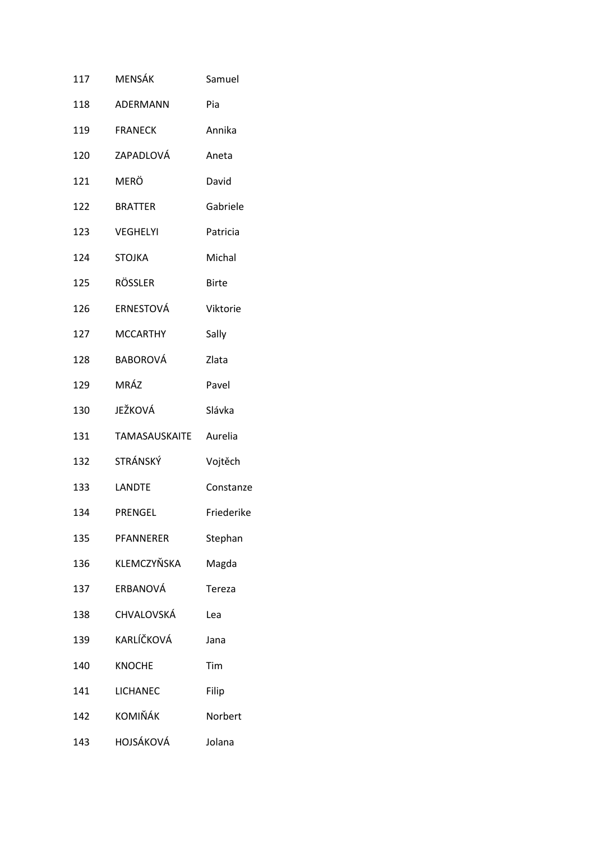| 117 | MENSÁK           | Samuel       |
|-----|------------------|--------------|
| 118 | ADERMANN         | Pia          |
| 119 | <b>FRANECK</b>   | Annika       |
| 120 | ZAPADLOVÁ        | Aneta        |
| 121 | <b>MERÖ</b>      | David        |
| 122 | <b>BRATTER</b>   | Gabriele     |
| 123 | <b>VEGHELYI</b>  | Patricia     |
| 124 | <b>STOJKA</b>    | Michal       |
| 125 | <b>RÖSSLER</b>   | <b>Birte</b> |
| 126 | ERNESTOVÁ        | Viktorie     |
| 127 | <b>MCCARTHY</b>  | Sally        |
| 128 | <b>BABOROVÁ</b>  | Zlata        |
| 129 | MRÁZ             | Pavel        |
| 130 | JEŽKOVÁ          | Slávka       |
| 131 | TAMASAUSKAITE    | Aurelia      |
| 132 | STRÁNSKÝ         | Vojtěch      |
| 133 | <b>LANDTE</b>    | Constanze    |
| 134 | <b>PRENGEL</b>   | Friederike   |
| 135 | <b>PFANNERER</b> | Stephan      |
| 136 | KLEMCZYŇSKA      | Magda        |
| 137 | ERBANOVÁ         | Tereza       |
| 138 | CHVALOVSKÁ       | Lea          |
| 139 | KARLÍČKOVÁ       | Jana         |
| 140 | <b>KNOCHE</b>    | Tim          |
| 141 | LICHANEC         | Filip        |
| 142 | KOMIŇÁK          | Norbert      |
| 143 | HOJSÁKOVÁ        | Jolana       |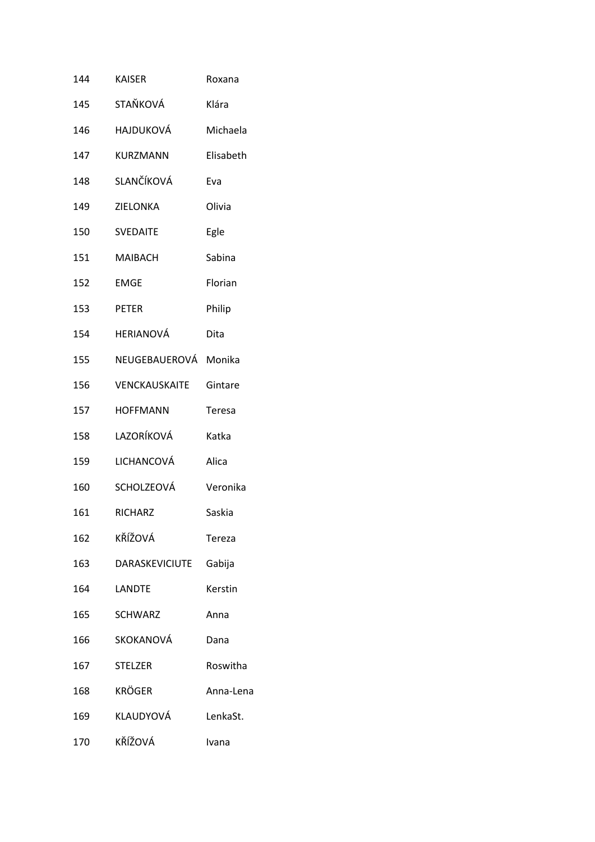| 144 | KAISER                | Roxana    |
|-----|-----------------------|-----------|
| 145 | STAŇKOVÁ              | Klára     |
| 146 | <b>HAJDUKOVÁ</b>      | Michaela  |
| 147 | <b>KURZMANN</b>       | Elisabeth |
| 148 | SLANČÍKOVÁ            | Eva       |
| 149 | <b>ZIELONKA</b>       | Olivia    |
| 150 | <b>SVEDAITE</b>       | Egle      |
| 151 | <b>MAIBACH</b>        | Sabina    |
| 152 | <b>EMGE</b>           | Florian   |
| 153 | <b>PETER</b>          | Philip    |
| 154 | <b>HERIANOVÁ</b>      | Dita      |
| 155 | NEUGEBAUEROVÁ Monika  |           |
| 156 | <b>VENCKAUSKAITE</b>  | Gintare   |
| 157 | <b>HOFFMANN</b>       | Teresa    |
| 158 | LAZORÍKOVÁ            | Katka     |
| 159 | LICHANCOVÁ            | Alica     |
| 160 | SCHOLZEOVÁ            | Veronika  |
| 161 | <b>RICHARZ</b>        | Saskia    |
| 162 | KŘÍŽOVÁ               | Tereza    |
| 163 | <b>DARASKEVICIUTE</b> | Gabija    |
| 164 | <b>LANDTE</b>         | Kerstin   |
| 165 | <b>SCHWARZ</b>        | Anna      |
| 166 | SKOKANOVÁ             | Dana      |
| 167 | <b>STELZER</b>        | Roswitha  |
| 168 | <b>KRÖGER</b>         | Anna-Lena |
| 169 | KLAUDYOVÁ             | LenkaSt.  |
| 170 | KŘÍŽOVÁ               | Ivana     |